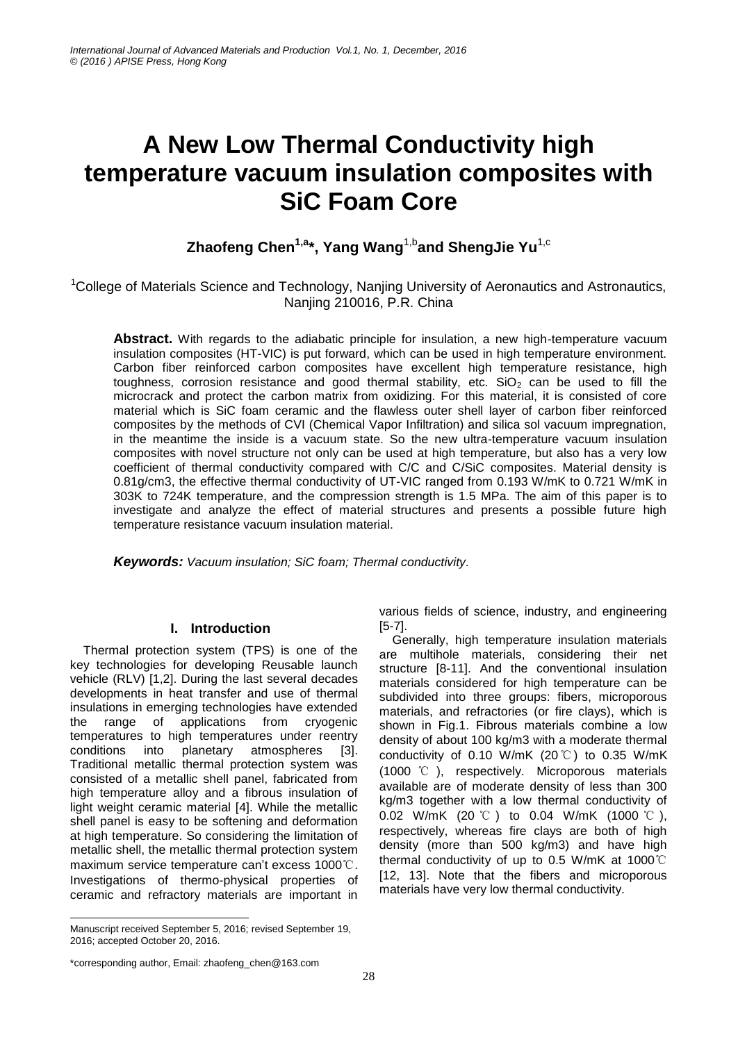# **A New Low Thermal Conductivity high temperature vacuum insulation composites with SiC Foam Core**

**Zhaofeng Chen1,a\*, Yang Wang**1,b**and ShengJie Yu**1,c

<sup>1</sup>College of Materials Science and Technology, Nanjing University of Aeronautics and Astronautics, Nanjing 210016, P.R. China

**Abstract.** With regards to the adiabatic principle for insulation, a new high-temperature vacuum insulation composites (HT-VIC) is put forward, which can be used in high temperature environment. Carbon fiber reinforced carbon composites have excellent high temperature resistance, high toughness, corrosion resistance and good thermal stability, etc.  $SiO<sub>2</sub>$  can be used to fill the microcrack and protect the carbon matrix from oxidizing. For this material, it is consisted of core material which is SiC foam ceramic and the flawless outer shell layer of carbon fiber reinforced composites by the methods of CVI (Chemical Vapor Infiltration) and silica sol vacuum impregnation, in the meantime the inside is a vacuum state. So the new ultra-temperature vacuum insulation composites with novel structure not only can be used at high temperature, but also has a very low coefficient of thermal conductivity compared with C/C and C/SiC composites. Material density is 0.81g/cm3, the effective thermal conductivity of UT-VIC ranged from 0.193 W/mK to 0.721 W/mK in 303K to 724K temperature, and the compression strength is 1.5 MPa. The aim of this paper is to investigate and analyze the effect of material structures and presents a possible future high temperature resistance vacuum insulation material.

*Keywords: Vacuum insulation; SiC foam; Thermal conductivity.*

# **I. Introduction**

Thermal protection system (TPS) is one of the key technologies for developing Reusable launch vehicle (RLV) [1,2]. During the last several decades developments in heat transfer and use of thermal insulations in emerging technologies have extended the range of applications from cryogenic temperatures to high temperatures under reentry conditions into planetary atmospheres [3]. Traditional metallic thermal protection system was consisted of a metallic shell panel, fabricated from high temperature alloy and a fibrous insulation of light weight ceramic material [4]. While the metallic shell panel is easy to be softening and deformation at high temperature. So considering the limitation of metallic shell, the metallic thermal protection system maximum service temperature can't excess 1000℃. Investigations of thermo-physical properties of ceramic and refractory materials are important in various fields of science, industry, and engineering [5-7].

Generally, high temperature insulation materials are multihole materials, considering their net structure [8-11]. And the conventional insulation materials considered for high temperature can be subdivided into three groups: fibers, microporous materials, and refractories (or fire clays), which is shown in Fig.1. Fibrous materials combine a low density of about 100 kg/m3 with a moderate thermal conductivity of 0.10 W/mK (20℃) to 0.35 W/mK (1000 ℃ ), respectively. Microporous materials available are of moderate density of less than 300 kg/m3 together with a low thermal conductivity of 0.02 W/mK (20 ℃ ) to 0.04 W/mK (1000 ℃ ), respectively, whereas fire clays are both of high density (more than 500 kg/m3) and have high thermal conductivity of up to 0.5 W/mK at 1000℃ [12, 13]. Note that the fibers and microporous materials have very low thermal conductivity.

<sup>-</sup>Manuscript received September 5, 2016; revised September 19, 2016; accepted October 20, 2016.

<sup>\*</sup>corresponding author, Email: zhaofeng\_chen@163.com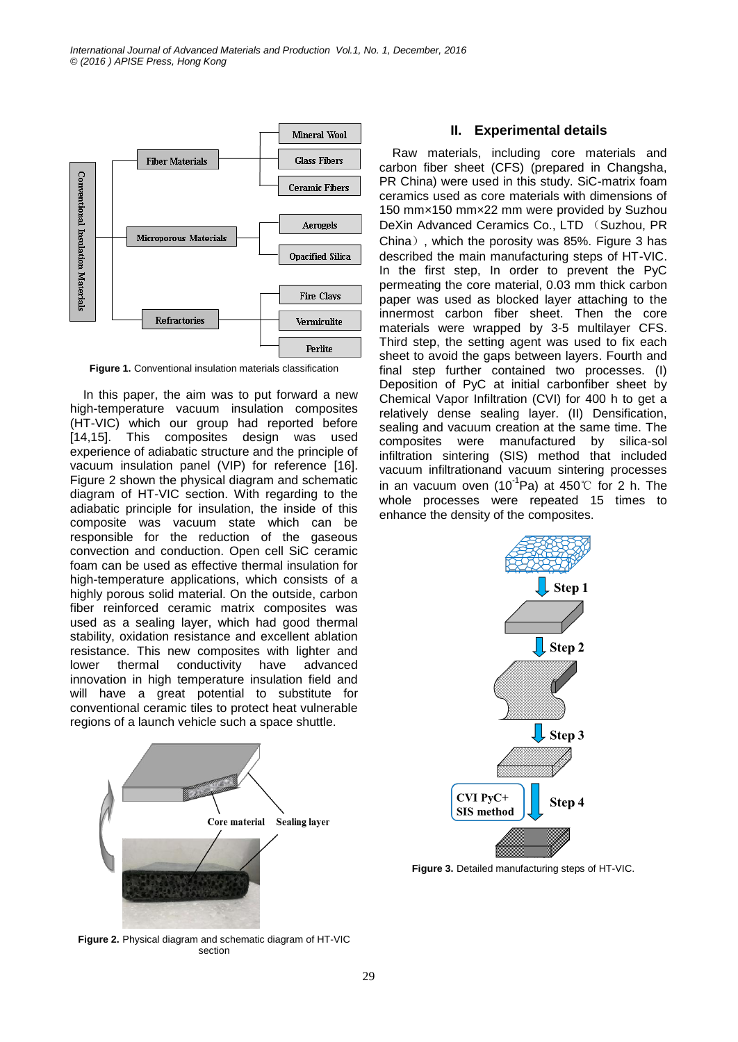

**Figure 1.** Conventional insulation materials classification

In this paper, the aim was to put forward a new high-temperature vacuum insulation composites (HT-VIC) which our group had reported before [14,15]. This composites design was used experience of adiabatic structure and the principle of vacuum insulation panel (VIP) for reference [16]. Figure 2 shown the physical diagram and schematic diagram of HT-VIC section. With regarding to the adiabatic principle for insulation, the inside of this composite was vacuum state which can be responsible for the reduction of the gaseous convection and conduction. Open cell SiC ceramic foam can be used as effective thermal insulation for high-temperature applications, which consists of a highly porous solid material. On the outside, carbon fiber reinforced ceramic matrix composites was used as a sealing layer, which had good thermal stability, oxidation resistance and excellent ablation resistance. This new composites with lighter and lower thermal conductivity have advanced innovation in high temperature insulation field and will have a great potential to substitute for conventional ceramic tiles to protect heat vulnerable regions of a launch vehicle such a space shuttle.



### **II. Experimental details**

Raw materials, including core materials and carbon fiber sheet (CFS) (prepared in Changsha, PR China) were used in this study. SiC-matrix foam ceramics used as core materials with dimensions of 150 mm×150 mm×22 mm were provided by Suzhou DeXin Advanced Ceramics Co., LTD (Suzhou, PR China), which the porosity was 85%. Figure 3 has described the main manufacturing steps of HT-VIC. In the first step, In order to prevent the PyC permeating the core material, 0.03 mm thick carbon paper was used as blocked layer attaching to the innermost carbon fiber sheet. Then the core materials were wrapped by 3-5 multilayer CFS. Third step, the setting agent was used to fix each sheet to avoid the gaps between layers. Fourth and final step further contained two processes. (I) Deposition of PyC at initial carbonfiber sheet by Chemical Vapor Infiltration (CVI) for 400 h to get a relatively dense sealing layer. (II) Densification, sealing and vacuum creation at the same time. The composites were manufactured by silica-sol infiltration sintering (SIS) method that included vacuum infiltrationand vacuum sintering processes in an vacuum oven (10<sup>-1</sup>Pa) at 450℃ for 2 h. The whole processes were repeated 15 times to enhance the density of the composites.



**Figure 2.** Physical diagram and schematic diagram of HT-VIC section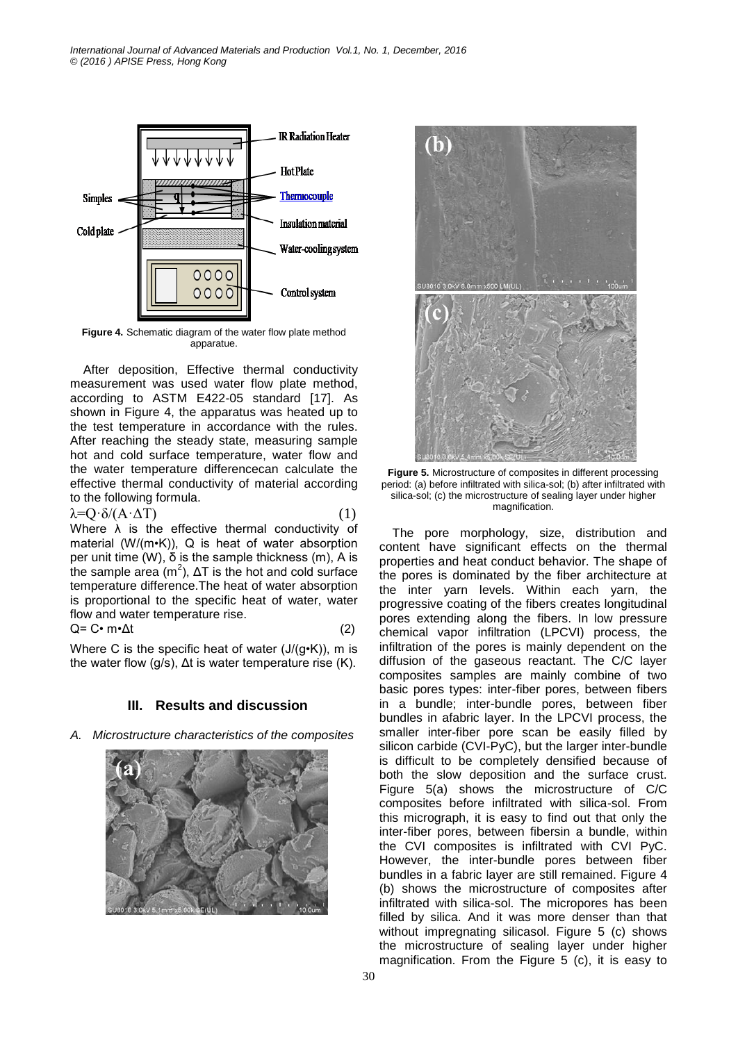*International Journal of Advanced Materials and Production Vol.1, No. 1, December, 2016 © (2016 ) APISE Press, Hong Kong*



**Figure 4.** Schematic diagram of the water flow plate method apparatue.

After deposition, Effective thermal conductivity measurement was used water flow plate method, according to ASTM E422-05 standard [17]. As shown in Figure 4, the apparatus was heated up to the test temperature in accordance with the rules. After reaching the steady state, measuring sample hot and cold surface temperature, water flow and the water temperature differencecan calculate the effective thermal conductivity of material according to the following formula.

 $\lambda = Q \cdot \delta / (A \cdot \Delta T)$  (1) Where  $\lambda$  is the effective thermal conductivity of material (W/(m•K)), Q is heat of water absorption per unit time (W), δ is the sample thickness (m), A is the sample area ( $m^2$ ),  $\Delta T$  is the hot and cold surface temperature difference.The heat of water absorption is proportional to the specific heat of water, water flow and water temperature rise.

$$
Q = C \cdot m \cdot \Delta t \tag{2}
$$

Where C is the specific heat of water  $(J/(g \cdot K))$ , m is the water flow (g/s),  $Δt$  is water temperature rise (K).

## **III. Results and discussion**

*A. Microstructure characteristics of the composites*





**Figure 5.** Microstructure of composites in different processing period: (a) before infiltrated with silica-sol; (b) after infiltrated with silica-sol; (c) the microstructure of sealing layer under higher magnification.

The pore morphology, size, distribution and content have significant effects on the thermal properties and heat conduct behavior. The shape of the pores is dominated by the fiber architecture at the inter yarn levels. Within each yarn, the progressive coating of the fibers creates longitudinal pores extending along the fibers. In low pressure chemical vapor infiltration (LPCVI) process, the infiltration of the pores is mainly dependent on the diffusion of the gaseous reactant. The C/C layer composites samples are mainly combine of two basic pores types: inter-fiber pores, between fibers in a bundle; inter-bundle pores, between fiber bundles in afabric layer. In the LPCVI process, the smaller inter-fiber pore scan be easily filled by silicon carbide (CVI-PyC), but the larger inter-bundle is difficult to be completely densified because of both the slow deposition and the surface crust. Figure 5(a) shows the microstructure of C/C composites before infiltrated with silica-sol. From this micrograph, it is easy to find out that only the inter-fiber pores, between fibersin a bundle, within the CVI composites is infiltrated with CVI PyC. However, the inter-bundle pores between fiber bundles in a fabric layer are still remained. Figure 4 (b) shows the microstructure of composites after infiltrated with silica-sol. The micropores has been filled by silica. And it was more denser than that without impregnating silicasol. Figure 5 (c) shows the microstructure of sealing layer under higher magnification. From the Figure 5 (c), it is easy to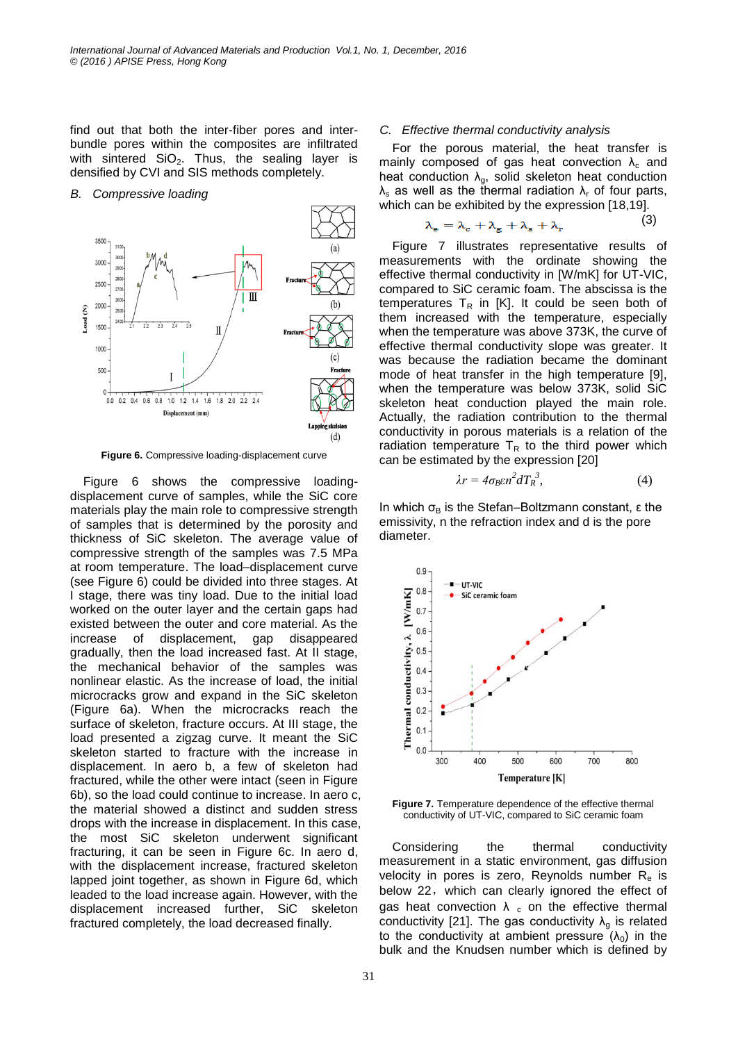find out that both the inter-fiber pores and interbundle pores within the composites are infiltrated with sintered  $SiO<sub>2</sub>$ . Thus, the sealing layer is densified by CVI and SIS methods completely.

*B. Compressive loading*



**Figure 6.** Compressive loading-displacement curve

Figure 6 shows the compressive loadingdisplacement curve of samples, while the SiC core materials play the main role to compressive strength of samples that is determined by the porosity and thickness of SiC skeleton. The average value of compressive strength of the samples was 7.5 MPa at room temperature. The load–displacement curve (see Figure 6) could be divided into three stages. At I stage, there was tiny load. Due to the initial load worked on the outer layer and the certain gaps had existed between the outer and core material. As the increase of displacement, gap disappeared gradually, then the load increased fast. At II stage, the mechanical behavior of the samples was nonlinear elastic. As the increase of load, the initial microcracks grow and expand in the SiC skeleton (Figure 6a). When the microcracks reach the surface of skeleton, fracture occurs. At III stage, the load presented a zigzag curve. It meant the SiC skeleton started to fracture with the increase in displacement. In aero b, a few of skeleton had fractured, while the other were intact (seen in Figure 6b), so the load could continue to increase. In aero c, the material showed a distinct and sudden stress drops with the increase in displacement. In this case, the most SiC skeleton underwent significant fracturing, it can be seen in Figure 6c. In aero d, with the displacement increase, fractured skeleton lapped joint together, as shown in Figure 6d, which leaded to the load increase again. However, with the displacement increased further, SiC skeleton fractured completely, the load decreased finally.

#### *C. Effective thermal conductivity analysis*

For the porous material, the heat transfer is mainly composed of gas heat convection  $\lambda_c$  and heat conduction  $\lambda_q$ , solid skeleton heat conduction  $λ<sub>s</sub>$  as well as the thermal radiation  $λ<sub>r</sub>$  of four parts, which can be exhibited by the expression [18,19].

$$
\lambda_{\rm e} = \lambda_{\rm c} + \lambda_{\rm g} + \lambda_{\rm s} + \lambda_{\rm r} \tag{3}
$$

Figure 7 illustrates representative results of measurements with the ordinate showing the effective thermal conductivity in [W/mK] for UT-VIC, compared to SiC ceramic foam. The abscissa is the temperatures  $T_R$  in [K]. It could be seen both of them increased with the temperature, especially when the temperature was above 373K, the curve of effective thermal conductivity slope was greater. It was because the radiation became the dominant mode of heat transfer in the high temperature [9], when the temperature was below 373K, solid SiC skeleton heat conduction played the main role. Actually, the radiation contribution to the thermal conductivity in porous materials is a relation of the radiation temperature  $T_R$  to the third power which can be estimated by the expression [20]

$$
\lambda r = 4\sigma_B \epsilon n^2 dT_R^3, \tag{4}
$$

In which  $\sigma_B$  is the Stefan–Boltzmann constant, ε the emissivity, n the refraction index and d is the pore diameter.



**Figure 7.** Temperature dependence of the effective thermal conductivity of UT-VIC, compared to SiC ceramic foam

Considering the thermal conductivity measurement in a static environment, gas diffusion velocity in pores is zero, Reynolds number  $R_e$  is below 22, which can clearly ignored the effect of gas heat convection  $\lambda_c$  on the effective thermal conductivity [21]. The gas conductivity  $\lambda_{g}$  is related to the conductivity at ambient pressure  $(\lambda_0)$  in the bulk and the Knudsen number which is defined by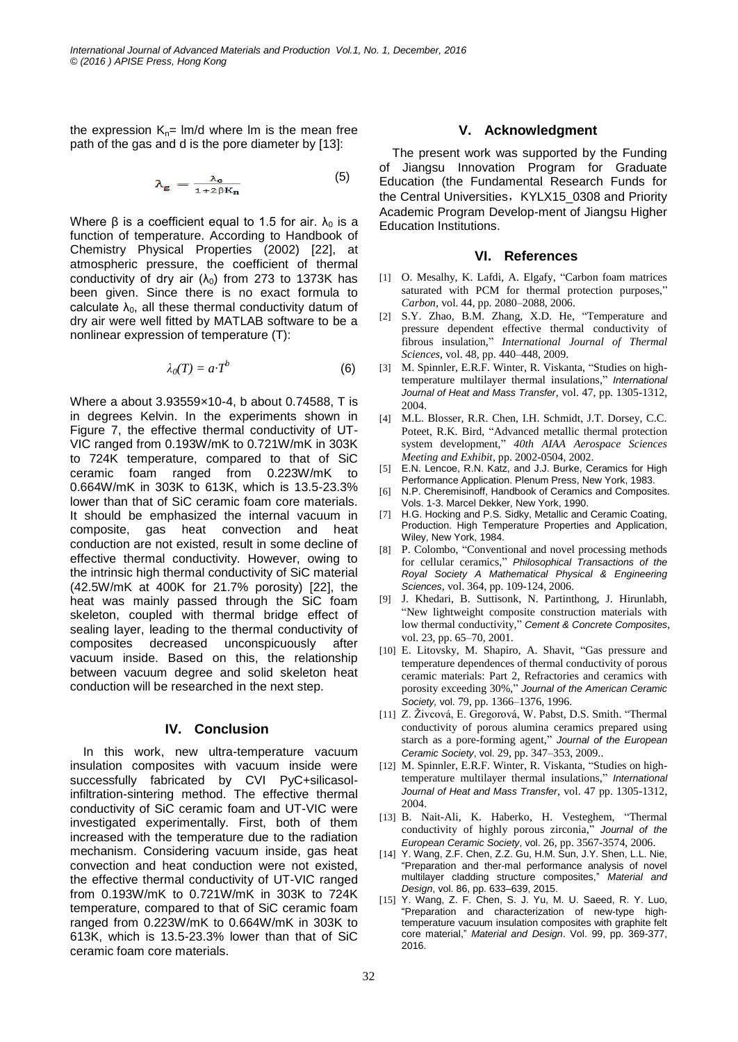the expression  $K_n=$  lm/d where lm is the mean free path of the gas and d is the pore diameter by [13]:

$$
\lambda_{g} = \frac{\lambda_{o}}{1 + 2\beta K_{n}} \tag{5}
$$

Where β is a coefficient equal to 1.5 for air.  $λ_0$  is a function of temperature. According to Handbook of Chemistry Physical Properties (2002) [22], at atmospheric pressure, the coefficient of thermal conductivity of dry air  $(\lambda_0)$  from 273 to 1373K has been given. Since there is no exact formula to calculate  $\lambda_0$ , all these thermal conductivity datum of dry air were well fitted by MATLAB software to be a nonlinear expression of temperature (T):

$$
\lambda_0(T) = a \, T^b \tag{6}
$$

Where a about 3.93559×10-4, b about 0.74588, T is in degrees Kelvin. In the experiments shown in Figure 7, the effective thermal conductivity of UT-VIC ranged from 0.193W/mK to 0.721W/mK in 303K to 724K temperature, compared to that of SiC ceramic foam ranged from 0.223W/mK to 0.664W/mK in 303K to 613K, which is 13.5-23.3% lower than that of SiC ceramic foam core materials. It should be emphasized the internal vacuum in composite, gas heat convection and heat conduction are not existed, result in some decline of effective thermal conductivity. However, owing to the intrinsic high thermal conductivity of SiC material (42.5W/mK at 400K for 21.7% porosity) [22], the heat was mainly passed through the SiC foam skeleton, coupled with thermal bridge effect of sealing layer, leading to the thermal conductivity of composites decreased unconspicuously after vacuum inside. Based on this, the relationship between vacuum degree and solid skeleton heat conduction will be researched in the next step.

## **IV. Conclusion**

In this work, new ultra-temperature vacuum insulation composites with vacuum inside were successfully fabricated by CVI PyC+silicasolinfiltration-sintering method. The effective thermal conductivity of SiC ceramic foam and UT-VIC were investigated experimentally. First, both of them increased with the temperature due to the radiation mechanism. Considering vacuum inside, gas heat convection and heat conduction were not existed, the effective thermal conductivity of UT-VIC ranged from 0.193W/mK to 0.721W/mK in 303K to 724K temperature, compared to that of SiC ceramic foam ranged from 0.223W/mK to 0.664W/mK in 303K to 613K, which is 13.5-23.3% lower than that of SiC ceramic foam core materials.

## **V. Acknowledgment**

The present work was supported by the Funding of Jiangsu Innovation Program for Graduate Education (the Fundamental Research Funds for the Central Universities, KYLX15\_0308 and Priority Academic Program Develop-ment of Jiangsu Higher Education Institutions.

## **VI. References**

- [1] O. Mesalhy, K. Lafdi, A. Elgafy, "Carbon foam matrices saturated with PCM for thermal protection purposes," *Carbon,* vol. 44, pp. 2080–2088, 2006.
- [2] S.Y. Zhao, B.M. Zhang, X.D. He, "Temperature and pressure dependent effective thermal conductivity of fibrous insulation," *International Journal of Thermal Sciences*, vol. 48, pp. 440–448, 2009.
- [3] M. Spinnler, E.R.F. Winter, R. Viskanta, "Studies on hightemperature multilayer thermal insulations," *International Journal of Heat and Mass Transfer*, vol. 47, pp. 1305-1312, 2004.
- [4] M.L. Blosser, R.R. Chen, I.H. Schmidt, J.T. Dorsey, C.C. Poteet, R.K. Bird, "Advanced metallic thermal protection system development," *40th AIAA Aerospace Sciences Meeting and Exhibit*, pp. 2002-0504, 2002.
- [5] E.N. Lencoe, R.N. Katz, and J.J. Burke, Ceramics for High Performance Application. Plenum Press, New York, 1983.
- [6] N.P. Cheremisinoff, Handbook of Ceramics and Composites. Vols. 1-3. Marcel Dekker, New York, 1990.
- [7] H.G. Hocking and P.S. Sidky, Metallic and Ceramic Coating, Production. High Temperature Properties and Application, Wiley, New York, 1984.
- [8] P. Colombo, "Conventional and novel processing methods for cellular ceramics," *Philosophical Transactions of the Royal Society A Mathematical Physical & Engineering Sciences*, vol. 364, pp. 109-124, 2006.
- [9] J. Khedari, B. Suttisonk, N. Partinthong, J. Hirunlabh, "New lightweight composite construction materials with low thermal conductivity," *Cement & Concrete Composites*, vol. 23, pp. 65–70, 2001.
- [10] E. Litovsky, M. Shapiro, A. Shavit, "Gas pressure and temperature dependences of thermal conductivity of porous ceramic materials: Part 2, Refractories and ceramics with porosity exceeding 30%," *Journal of the American Ceramic Society,* vol. 79, pp. 1366–1376, 1996.
- [11] Z. Živcová, E. Gregorová, W. Pabst, D.S. Smith. "Thermal conductivity of porous alumina ceramics prepared using starch as a pore-forming agent," *Journal of the European Ceramic Society*, vol. 29, pp. 347–353, 2009..
- [12] M. Spinnler, E.R.F. Winter, R. Viskanta, "Studies on hightemperature multilayer thermal insulations," *International Journal of Heat and Mass Transfer*, vol. 47 pp. 1305-1312, 2004.
- [13] B. Nait-Ali, K. Haberko, H. Vesteghem, "Thermal conductivity of highly porous zirconia," *Journal of the European Ceramic Society*, vol. 26, pp. 3567-3574, 2006.
- [14] Y. Wang, Z.F. Chen, Z.Z. Gu, H.M. Sun, J.Y. Shen, L.L. Nie, "Preparation and ther-mal performance analysis of novel multilayer cladding structure composites," *Material and Design*, vol. 86, pp. 633–639, 2015.
- [15] Y. Wang, Z. F. Chen, S. J. Yu, M. U. Saeed, R. Y. Luo, "Preparation and characterization of new-type hightemperature vacuum insulation composites with graphite felt core material," *Material and Design*. Vol. 99, pp. 369-377, 2016.